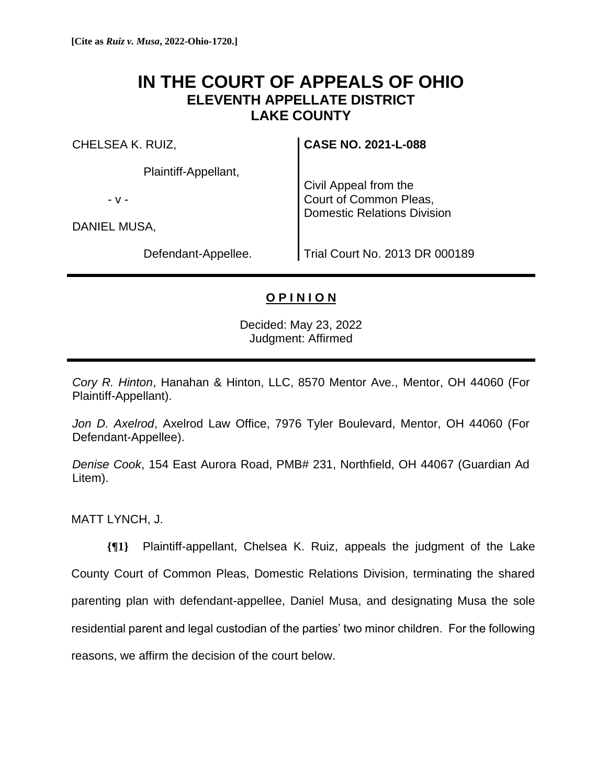## **IN THE COURT OF APPEALS OF OHIO ELEVENTH APPELLATE DISTRICT LAKE COUNTY**

CHELSEA K. RUIZ,

Plaintiff-Appellant,

- v -

DANIEL MUSA,

Defendant-Appellee.

**CASE NO. 2021-L-088**

Civil Appeal from the Court of Common Pleas, Domestic Relations Division

Trial Court No. 2013 DR 000189

## **O P I N I O N**

Decided: May 23, 2022 Judgment: Affirmed

*Cory R. Hinton*, Hanahan & Hinton, LLC, 8570 Mentor Ave., Mentor, OH 44060 (For Plaintiff-Appellant).

*Jon D. Axelrod*, Axelrod Law Office, 7976 Tyler Boulevard, Mentor, OH 44060 (For Defendant-Appellee).

*Denise Cook*, 154 East Aurora Road, PMB# 231, Northfield, OH 44067 (Guardian Ad Litem).

MATT LYNCH, J.

**{¶1}** Plaintiff-appellant, Chelsea K. Ruiz, appeals the judgment of the Lake County Court of Common Pleas, Domestic Relations Division, terminating the shared parenting plan with defendant-appellee, Daniel Musa, and designating Musa the sole residential parent and legal custodian of the parties' two minor children. For the following reasons, we affirm the decision of the court below.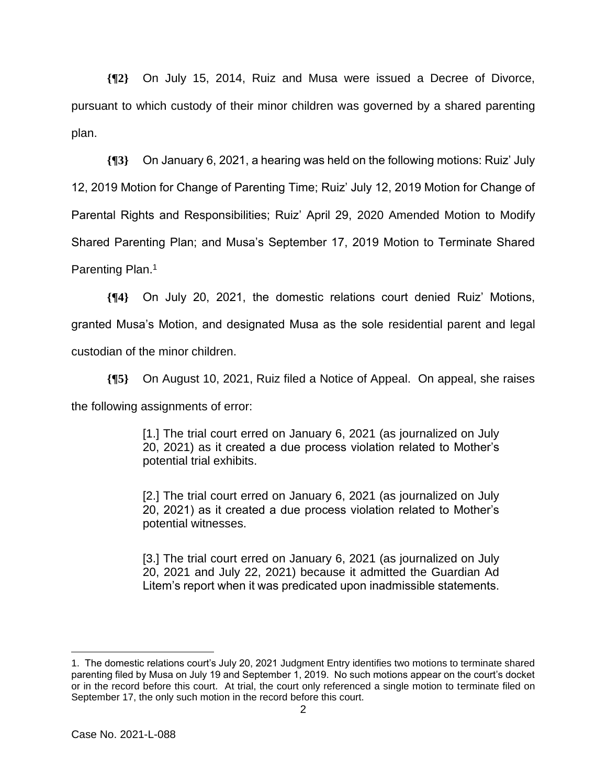**{¶2}** On July 15, 2014, Ruiz and Musa were issued a Decree of Divorce, pursuant to which custody of their minor children was governed by a shared parenting plan.

**{¶3}** On January 6, 2021, a hearing was held on the following motions: Ruiz' July 12, 2019 Motion for Change of Parenting Time; Ruiz' July 12, 2019 Motion for Change of Parental Rights and Responsibilities; Ruiz' April 29, 2020 Amended Motion to Modify Shared Parenting Plan; and Musa's September 17, 2019 Motion to Terminate Shared Parenting Plan.<sup>1</sup>

**{¶4}** On July 20, 2021, the domestic relations court denied Ruiz' Motions, granted Musa's Motion, and designated Musa as the sole residential parent and legal custodian of the minor children.

**{¶5}** On August 10, 2021, Ruiz filed a Notice of Appeal. On appeal, she raises the following assignments of error:

> [1.] The trial court erred on January 6, 2021 (as journalized on July 20, 2021) as it created a due process violation related to Mother's potential trial exhibits.

> [2.] The trial court erred on January 6, 2021 (as journalized on July 20, 2021) as it created a due process violation related to Mother's potential witnesses.

> [3.] The trial court erred on January 6, 2021 (as journalized on July 20, 2021 and July 22, 2021) because it admitted the Guardian Ad Litem's report when it was predicated upon inadmissible statements.

<sup>1.</sup> The domestic relations court's July 20, 2021 Judgment Entry identifies two motions to terminate shared parenting filed by Musa on July 19 and September 1, 2019. No such motions appear on the court's docket or in the record before this court. At trial, the court only referenced a single motion to terminate filed on September 17, the only such motion in the record before this court.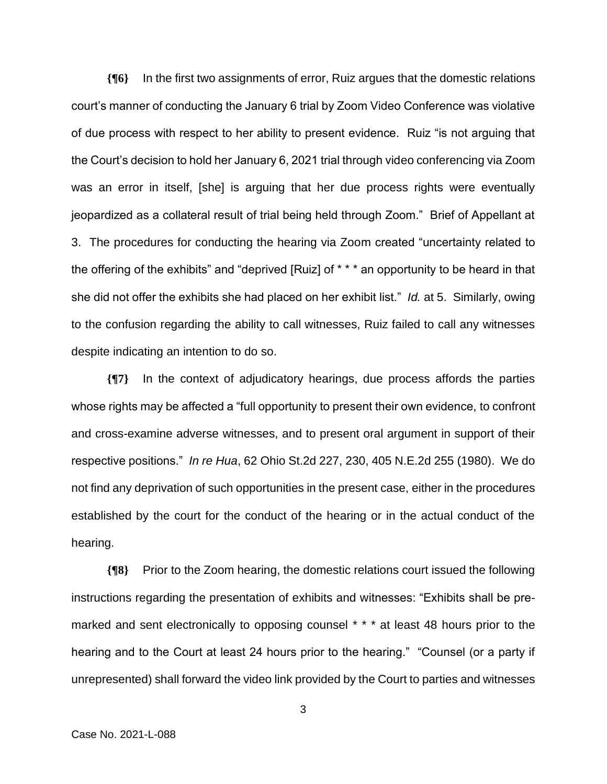**{¶6}** In the first two assignments of error, Ruiz argues that the domestic relations court's manner of conducting the January 6 trial by Zoom Video Conference was violative of due process with respect to her ability to present evidence. Ruiz "is not arguing that the Court's decision to hold her January 6, 2021 trial through video conferencing via Zoom was an error in itself, [she] is arguing that her due process rights were eventually jeopardized as a collateral result of trial being held through Zoom." Brief of Appellant at 3. The procedures for conducting the hearing via Zoom created "uncertainty related to the offering of the exhibits" and "deprived [Ruiz] of \* \* \* an opportunity to be heard in that she did not offer the exhibits she had placed on her exhibit list." *Id.* at 5. Similarly, owing to the confusion regarding the ability to call witnesses, Ruiz failed to call any witnesses despite indicating an intention to do so.

**{¶7}** In the context of adjudicatory hearings, due process affords the parties whose rights may be affected a "full opportunity to present their own evidence, to confront and cross-examine adverse witnesses, and to present oral argument in support of their respective positions." *In re Hua*, 62 Ohio St.2d 227, 230, 405 N.E.2d 255 (1980). We do not find any deprivation of such opportunities in the present case, either in the procedures established by the court for the conduct of the hearing or in the actual conduct of the hearing.

**{¶8}** Prior to the Zoom hearing, the domestic relations court issued the following instructions regarding the presentation of exhibits and witnesses: "Exhibits shall be premarked and sent electronically to opposing counsel \* \* \* at least 48 hours prior to the hearing and to the Court at least 24 hours prior to the hearing." "Counsel (or a party if unrepresented) shall forward the video link provided by the Court to parties and witnesses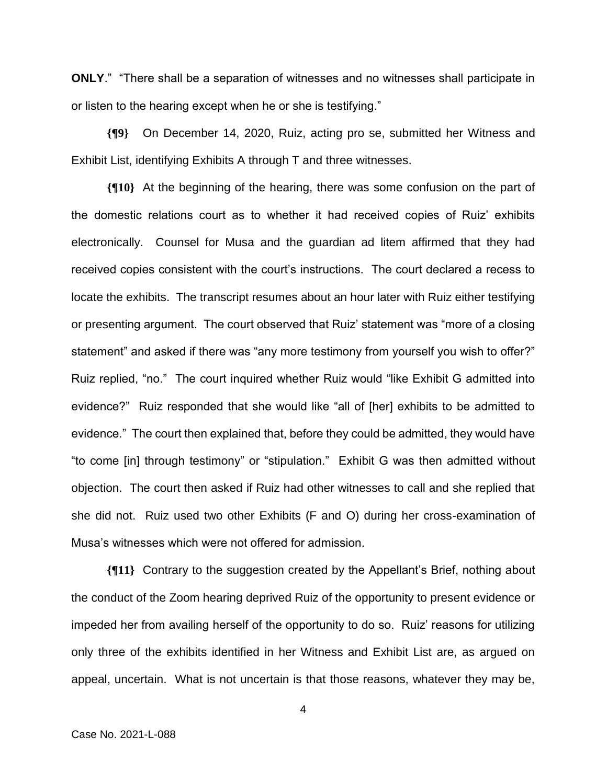**ONLY**." "There shall be a separation of witnesses and no witnesses shall participate in or listen to the hearing except when he or she is testifying."

**{¶9}** On December 14, 2020, Ruiz, acting pro se, submitted her Witness and Exhibit List, identifying Exhibits A through T and three witnesses.

**{¶10}** At the beginning of the hearing, there was some confusion on the part of the domestic relations court as to whether it had received copies of Ruiz' exhibits electronically. Counsel for Musa and the guardian ad litem affirmed that they had received copies consistent with the court's instructions. The court declared a recess to locate the exhibits. The transcript resumes about an hour later with Ruiz either testifying or presenting argument. The court observed that Ruiz' statement was "more of a closing statement" and asked if there was "any more testimony from yourself you wish to offer?" Ruiz replied, "no." The court inquired whether Ruiz would "like Exhibit G admitted into evidence?" Ruiz responded that she would like "all of [her] exhibits to be admitted to evidence." The court then explained that, before they could be admitted, they would have "to come [in] through testimony" or "stipulation." Exhibit G was then admitted without objection. The court then asked if Ruiz had other witnesses to call and she replied that she did not. Ruiz used two other Exhibits (F and O) during her cross-examination of Musa's witnesses which were not offered for admission.

**{¶11}** Contrary to the suggestion created by the Appellant's Brief, nothing about the conduct of the Zoom hearing deprived Ruiz of the opportunity to present evidence or impeded her from availing herself of the opportunity to do so. Ruiz' reasons for utilizing only three of the exhibits identified in her Witness and Exhibit List are, as argued on appeal, uncertain. What is not uncertain is that those reasons, whatever they may be,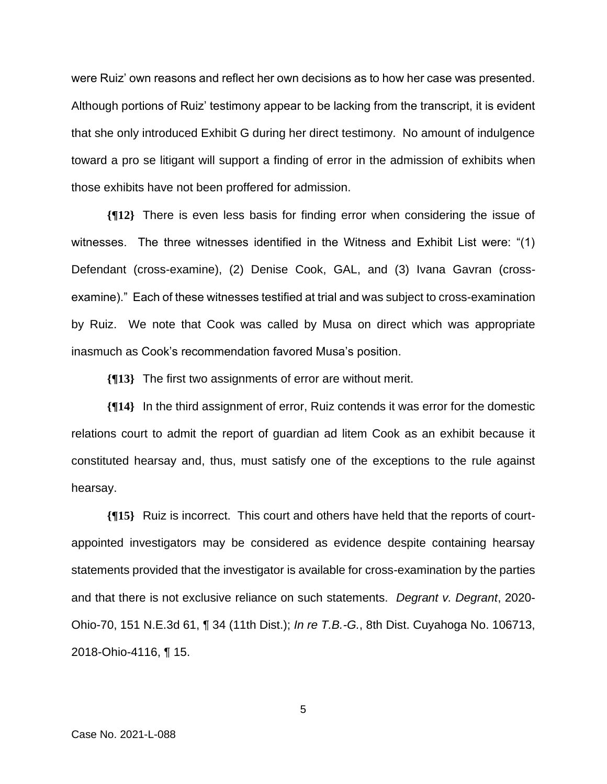were Ruiz' own reasons and reflect her own decisions as to how her case was presented. Although portions of Ruiz' testimony appear to be lacking from the transcript, it is evident that she only introduced Exhibit G during her direct testimony. No amount of indulgence toward a pro se litigant will support a finding of error in the admission of exhibits when those exhibits have not been proffered for admission.

**{¶12}** There is even less basis for finding error when considering the issue of witnesses. The three witnesses identified in the Witness and Exhibit List were: "(1) Defendant (cross-examine), (2) Denise Cook, GAL, and (3) Ivana Gavran (crossexamine)." Each of these witnesses testified at trial and was subject to cross-examination by Ruiz. We note that Cook was called by Musa on direct which was appropriate inasmuch as Cook's recommendation favored Musa's position.

**{¶13}** The first two assignments of error are without merit.

**{¶14}** In the third assignment of error, Ruiz contends it was error for the domestic relations court to admit the report of guardian ad litem Cook as an exhibit because it constituted hearsay and, thus, must satisfy one of the exceptions to the rule against hearsay.

**{¶15}** Ruiz is incorrect. This court and others have held that the reports of courtappointed investigators may be considered as evidence despite containing hearsay statements provided that the investigator is available for cross-examination by the parties and that there is not exclusive reliance on such statements. *Degrant v. Degrant*, 2020- Ohio-70, 151 N.E.3d 61, ¶ 34 (11th Dist.); *In re T.B.-G.*, 8th Dist. Cuyahoga No. 106713, 2018-Ohio-4116, ¶ 15.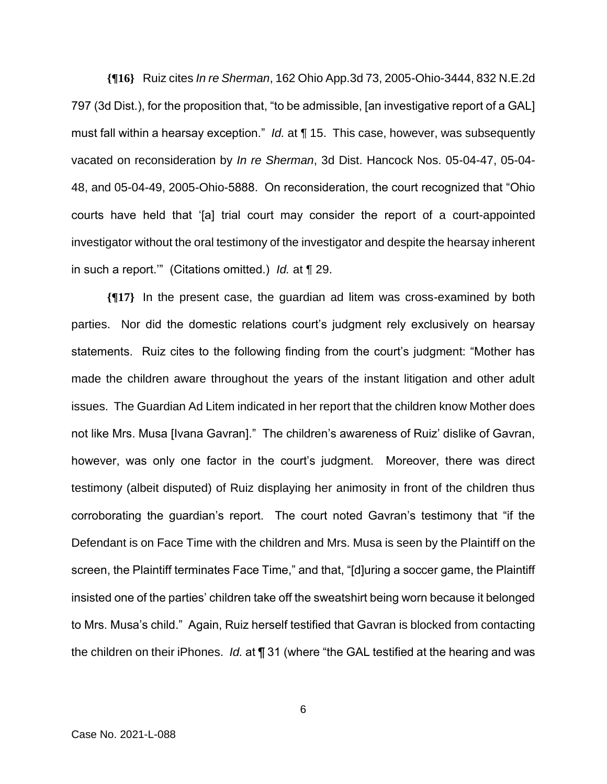**{¶16}** Ruiz cites *In re Sherman*, 162 Ohio App.3d 73, 2005-Ohio-3444, 832 N.E.2d 797 (3d Dist.), for the proposition that, "to be admissible, [an investigative report of a GAL] must fall within a hearsay exception." *Id.* at ¶ 15. This case, however, was subsequently vacated on reconsideration by *In re Sherman*, 3d Dist. Hancock Nos. 05-04-47, 05-04- 48, and 05-04-49, 2005-Ohio-5888. On reconsideration, the court recognized that "Ohio courts have held that '[a] trial court may consider the report of a court-appointed investigator without the oral testimony of the investigator and despite the hearsay inherent in such a report.'" (Citations omitted.) *Id.* at ¶ 29.

**{¶17}** In the present case, the guardian ad litem was cross-examined by both parties. Nor did the domestic relations court's judgment rely exclusively on hearsay statements. Ruiz cites to the following finding from the court's judgment: "Mother has made the children aware throughout the years of the instant litigation and other adult issues. The Guardian Ad Litem indicated in her report that the children know Mother does not like Mrs. Musa [Ivana Gavran]." The children's awareness of Ruiz' dislike of Gavran, however, was only one factor in the court's judgment. Moreover, there was direct testimony (albeit disputed) of Ruiz displaying her animosity in front of the children thus corroborating the guardian's report. The court noted Gavran's testimony that "if the Defendant is on Face Time with the children and Mrs. Musa is seen by the Plaintiff on the screen, the Plaintiff terminates Face Time," and that, "[d]uring a soccer game, the Plaintiff insisted one of the parties' children take off the sweatshirt being worn because it belonged to Mrs. Musa's child." Again, Ruiz herself testified that Gavran is blocked from contacting the children on their iPhones. *Id.* at ¶ 31 (where "the GAL testified at the hearing and was